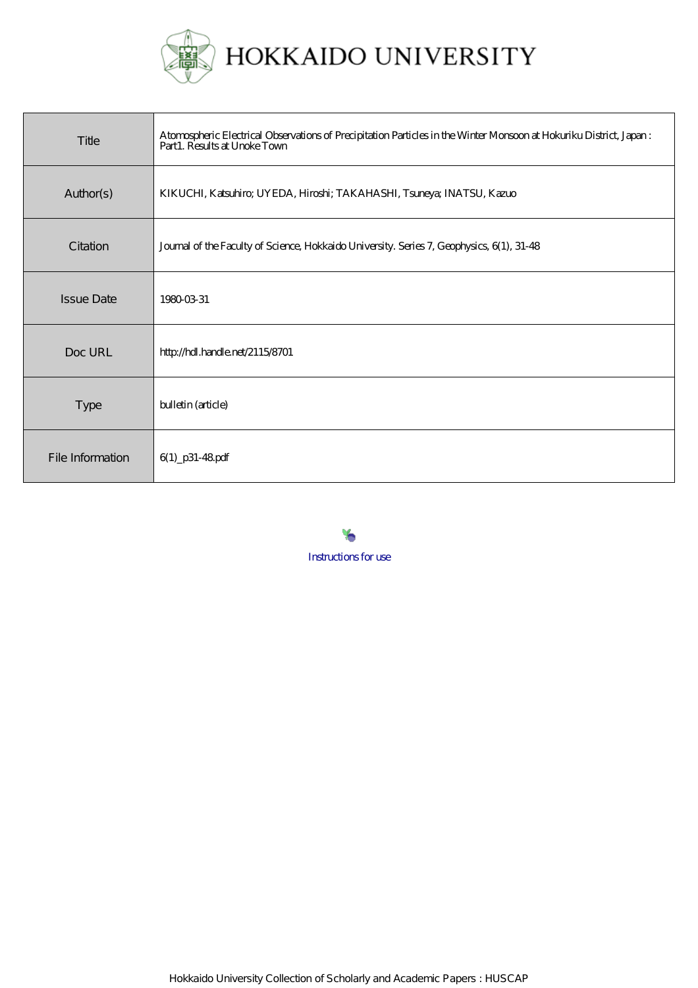

| Title             | Atomospheric Electrical Observations of Precipitation Particles in the Winter Monsoon at Hokuriku District, Japan:<br>Part1. Results at Unoke Town |
|-------------------|----------------------------------------------------------------------------------------------------------------------------------------------------|
| Author(s)         | KIKUCHI, Katsuhiro; UYEDA, Hiroshi; TAKAHASHI, Tsuneya; INATSU, Kazuo                                                                              |
| Citation          | Journal of the Faculty of Science, Hokkaido University. Series 7, Geophysics, 6(1), 31-48                                                          |
| <b>Issue Date</b> | 19800331                                                                                                                                           |
| Doc URL           | http://hdl.handle.net/2115/8701                                                                                                                    |
| <b>Type</b>       | bulletin (article)                                                                                                                                 |
| File Information  | $6(1)$ p31-48 pdf                                                                                                                                  |

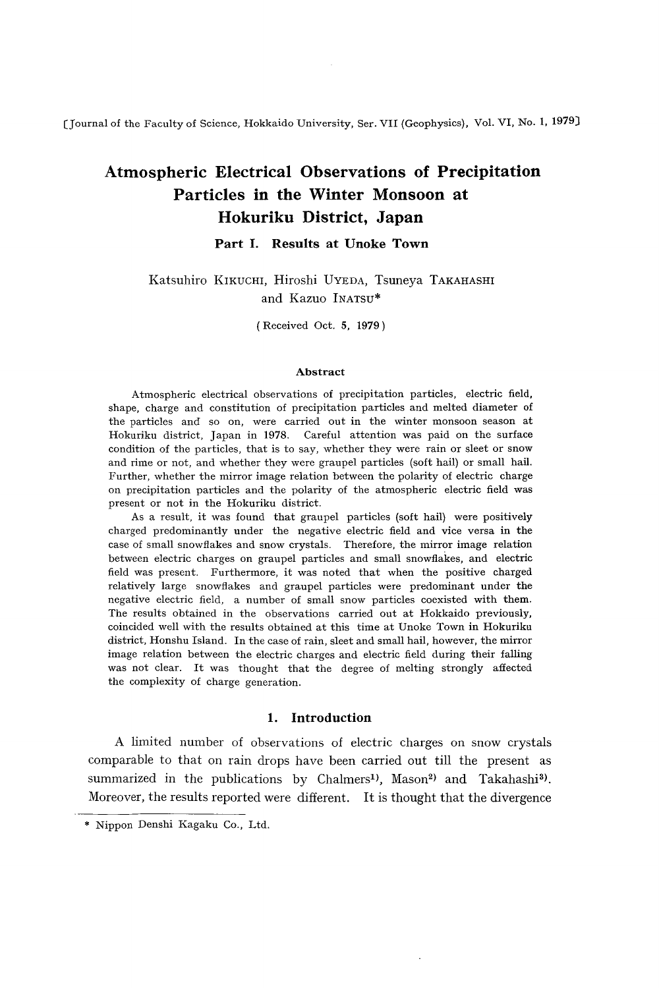(Journal of the Faculty of Science, Hokkaido University, Ser. VII (Geophysics), Vol. VI, No. I, 1979)

# **Atmospheric Electrical Observations of Precipitation Particles in the Winter Monsoon at Hokuriku District, Japan**

## **Part I. Results at Unoke Town**

# Katsuhiro KIKUCHI, Hiroshi UYEDA, Tsuneya TAKAHASHI and Kazuo INATSU\*

(Received Oct. 5, 1979)

#### **Abstract**

Atmospheric electrical observations of precipitation particles, electric field, shape, charge and constitution of precipitation particles and melted diameter of the particles and so on, were carried out in the winter monsoon season at Hokuriku district, Japan in 1978. Careful attention was paid on the surface condition of the particles, that is to say, whether they were rain or sleet or snow and rime or not, and whether they were graupel particles (soft hail) or small hail. Further, whether the mirror image relation between the polarity of electric charge on precipitation particles and the polarity of the atmospheric electric field was present or not in the Hokuriku district.

As a result, it was found that graupel particles (soft hail) were positively charged predominantly under the negative electric field and vice versa in the case of small snowflakes and snow crystals. Therefore, the mirror image relation between electric charges on graupel particles and small snowflakes, and electric field was present. Furthermore, it was noted that when the positive charged relatively large snowflakes and graupel particles were predominant under the negative electric field, a number of small snow particles coexisted with them. The results obtained in the observations carried out at Hokkaido previously, coincided well with the results obtained at this time at Unoke Town in Hokuriku district, Honshu Island. In the case of rain, sleet and small hail, however, the mirror image relation between the electric charges and electric field during their falling was not clear. It was thought that the degree of melting strongly affected the complexity of charge generation.

## **1. Introduction**

A limited number of observations of electric charges on snow crystals comparable to that on rain drops have been carried out till the present as summarized in the publications by Chalmers<sup>1</sup>, Mason<sup>2</sup>) and Takahashi<sup>3</sup>. Moreover, the results reported were different. It is thought that the divergence

<sup>\*</sup> Nippon Denshi Kagaku Co., Ltd.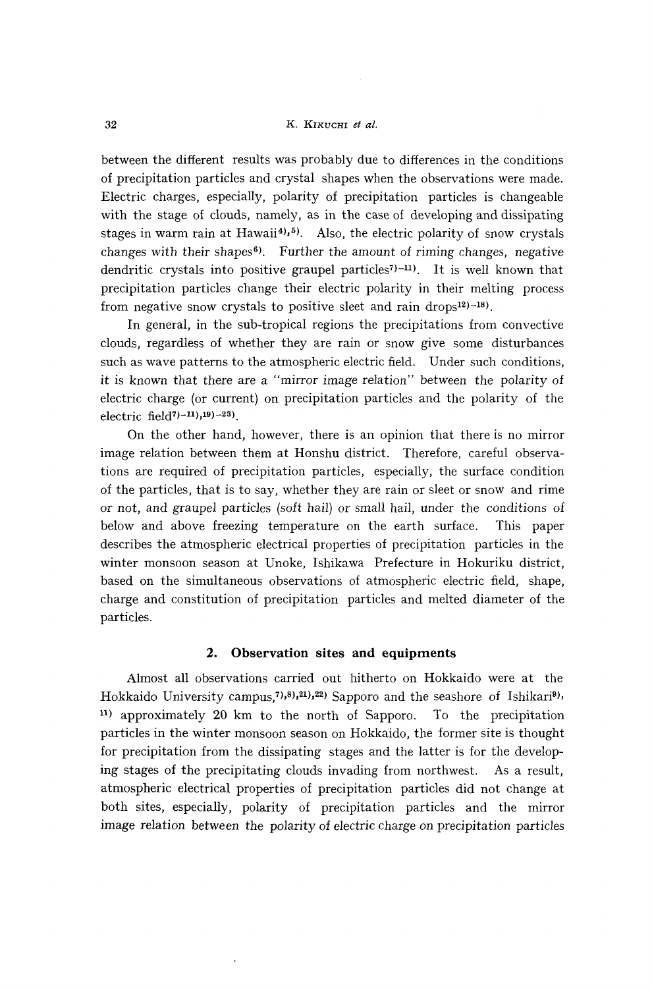#### 32 K. KIKUCHI *et at.*

between the different results was probably due to differences in the conditions of precipitation particles and crystal shapes when the observations were made. Electric charges, especially, polarity of precipitation particles is changeable with the stage of clouds, namely, as in the case of developing and dissipating stages in warm rain at Hawaii<sup>4</sup><sup>1</sup>,<sup>5</sup>. Also, the electric polarity of snow crystals changes with their shapes<sup> $6$ </sup>. Further the amount of riming changes, negative dendritic crystals into positive graupel particles<sup>7</sup>)<sup>-11</sup>. It is well known that precipitation particles change their electric polarity in their melting process from negative snow crystals to positive sleet and rain drops<sup>12)-18</sup>).

In general, in the sub-tropical regions the precipitations from convective clouds, regardless of whether they are rain or snow give some disturbances such as wave patterns to the atmospheric electric field. Under such conditions, it is known that there are a "mirror image relation" between the polarity of electric charge (or current) on precipitation particles and the polarity of the electric field? $-11$ ,  $19$  $-23$ ).

On the other hand, however, there is an opinion that there is no mirror image relation between them at Honshu district. Therefore, careful observations are required of precipitation particles, especially, the surface condition of the particles, that is to say, whether they are rain or sleet or snow and rime or not, and graupel particles (soft hail) or small hail, under the conditions of below and above freezing temperature on the earth surface. This paper describes the atmospheric electrical properties of precipitation particles in the winter monsoon season at Unoke, Ishikawa Prefecture in Hokuriku district, based on the simultaneous observations of atmospheric electric field, shape, charge and constitution of precipitation particles and melted diameter of the particles.

## **2. Observation sites and equipments**

Almost all observations carried out hitherto on Hokkaido were at the Hokkaido University campus,<sup>7</sup>,8,<sup>21</sup>,22) Sapporo and the seashore of Ishikari<sup>9</sup>, 11) approximately 20 km to the north of Sapporo. To the precipitation particles in the winter monsoon season on Hokkaido, the former site is thought for precipitation from the dissipating stages and the latter is for the developing stages of the precipitating clouds invading from northwest. As a result, atmospheric electrical properties of precipitation particles did not change at both sites, especially, polarity of precipitation particles and the mirror image relation between the polarity of electric charge on precipitation particles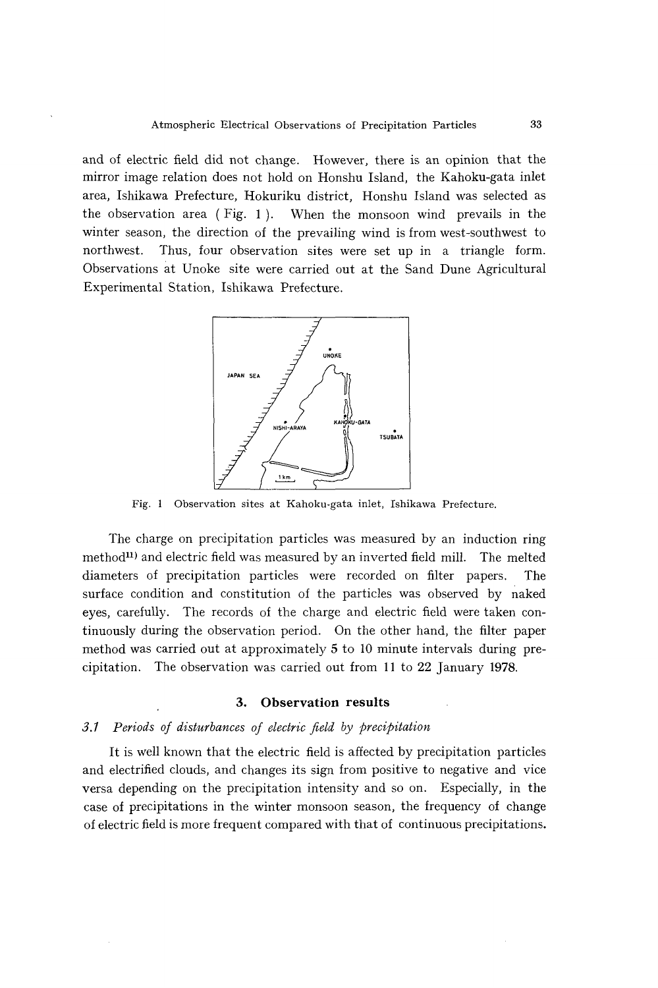and of electric field did not change. However, there is an opinion that the mirror image relation does not hold on Honshu Island, the Kahoku-gata inlet area, Ishikawa Prefecture, Hokuriku district, Honshu Island was selected as the observation area (Fig. 1). When the monsoon wind prevails in the winter season, the direction of the prevailing wind is from west-southwest to northwest. Thus, four observation sites were set up in a triangle form. Observations at Unoke site were carried out at the Sand Dune Agricultural Experimental Station, Ishikawa Prefecture.



Fig. I Observation sites at Kahoku-gata inlet, Ishikawa Prefecture.

The charge on precipitation particles was measured by an induction ring method<sup>11</sup>) and electric field was measured by an inverted field mill. The melted diameters of precipitation particles were recorded on filter papers. The surface condition and constitution of the particles was observed by naked eyes, carefully. The records of the charge and electric field were taken continuously during the observation period. On the other hand, the filter paper method was carried out at approximately 5 to 10 minute intervals during precipitation. The observation was carried out from 11 to 22 January 1978.

## **3. Observation results**

## *3.1 Periods of disturbances of electric field by precipitation*

It is well known that the electric field is affected by precipitation particles and electrified clouds, and changes its sign from positive to negative and vice versa depending on the precipitation intensity and so on. Especially, in the case of precipitations in the winter monsoon season, the frequency of change of electric field is more frequent compared with that of continuous precipitations.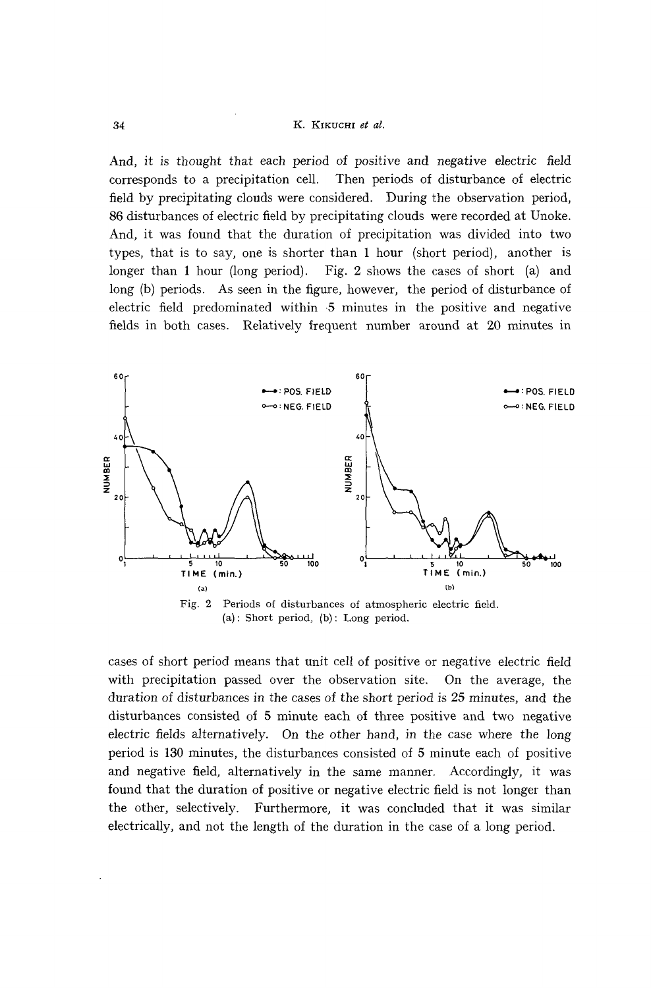And, *it is* thought that each period of positive and negative electric field corresponds to a precipitation cell. Then periods of disturbance of electric field by precipitating clouds were considered. During the observation period, 86 disturbances of electric field by precipitating clouds were recorded at Unoke. And, it was found that the duration of precipitation was divided into two types, that is to say, one is shorter than 1 hour (short period), another is longer than 1 hour (long period). Fig. 2 shows the cases of short (a) and long (b) periods. As seen in the figure, however, the period of disturbance of electric field predominated within 5 minutes in the positive and negative fields in both cases. Relatively frequent number around at 20 minutes in



(a): Short period, (b): Long period.

cases of short period means that unit cell of positive or negative electric field with precipitation passed over the observation site. On the average, the duration of disturbances in the cases of the short period is 25 minutes, and the disturbances consisted of 5 minute each of three positive and two negative electric fields alternatively. On the other hand, in the case where the long period is 130 minutes, the disturbances consisted of 5 minute each of positive and negative field, alternatively in the same manner. Accordingly, it was found that the duration of positive or negative electric field is not longer than the other, selectively. Furthermore, it was concluded that it was similar electrically, and not the length of the duration *in* the case of a long period.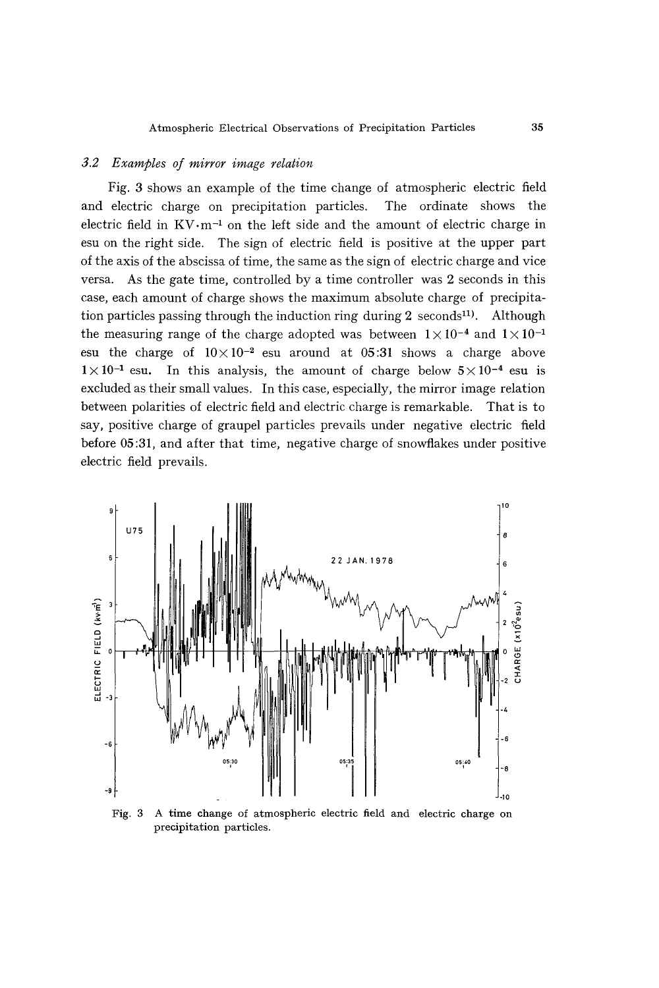## *3.2 Examples of mirror image relation*

Fig. 3 shows an example of the time change of atmospheric electric field and electric charge on precipitation particles. The ordinate shows the electric field in  $KV \cdot m^{-1}$  on the left side and the amount of electric charge in esu on the right side. The sign of electric field is positive at the upper part of the axis of the abscissa of time, the same as the sign of electric charge and vice versa. As the gate time, controlled by a time controller was 2 seconds in this case, each amount of charge shows the maximum absolute charge of precipitation particles passing through the induction ring during  $2$  seconds<sup>11</sup>). Although the measuring range of the charge adopted was between  $1 \times 10^{-4}$  and  $1 \times 10^{-1}$ esu the charge of  $10 \times 10^{-2}$  esu around at 05:31 shows a charge above  $1 \times 10^{-1}$  esu. In this analysis, the amount of charge below  $5 \times 10^{-4}$  esu is excluded as their small values. In this case, especially, the mirror image relation between polarities of electric field and electric charge is remarkable. That is to say, positive charge of graupel particles prevails under negative electric field before 05:31, and after that time, negative charge of snowflakes under positive electric field prevails.



Fig. 3 A time change of atmospheric electric field and electric charge on precipitation particles.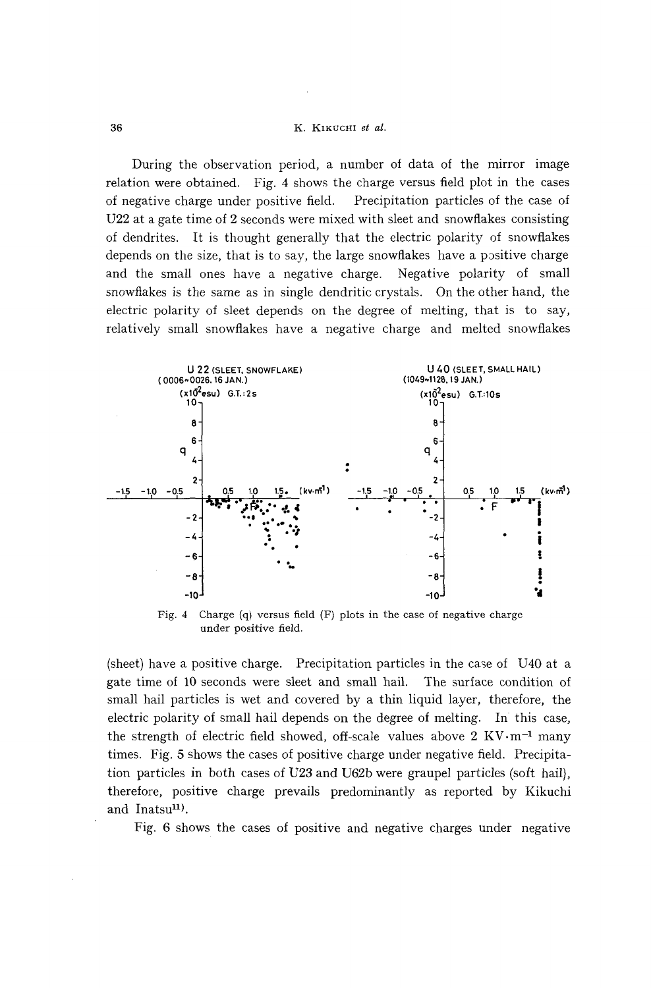### K. KIKUCHI et al.

During the observation period, a number of data of the mirror image relation were obtained. Fig. 4 shows the charge versus field plot in the cases Precipitation particles of the case of of negative charge under positive field. U22 at a gate time of 2 seconds were mixed with sleet and snowflakes consisting of dendrites. It is thought generally that the electric polarity of snowflakes depends on the size, that is to say, the large snowflakes have a positive charge and the small ones have a negative charge. Negative polarity of small snowflakes is the same as in single dendritic crystals. On the other hand, the electric polarity of sleet depends on the degree of melting, that is to say, relatively small snowflakes have a negative charge and melted snowflakes



Fig. 4 Charge  $(q)$  versus field  $(F)$  plots in the case of negative charge under positive field.

(sheet) have a positive charge. Precipitation particles in the case of U40 at a gate time of 10 seconds were sleet and small hail. The surface condition of small hail particles is wet and covered by a thin liquid layer, therefore, the electric polarity of small hail depends on the degree of melting. In this case, the strength of electric field showed, off-scale values above  $2 \text{ KV}\cdot\text{m}^{-1}$  many times. Fig. 5 shows the cases of positive charge under negative field. Precipitation particles in both cases of U23 and U62b were graupel particles (soft hail), therefore, positive charge prevails predominantly as reported by Kikuchi and Inatsu<sup>11</sup>).

Fig. 6 shows the cases of positive and negative charges under negative

36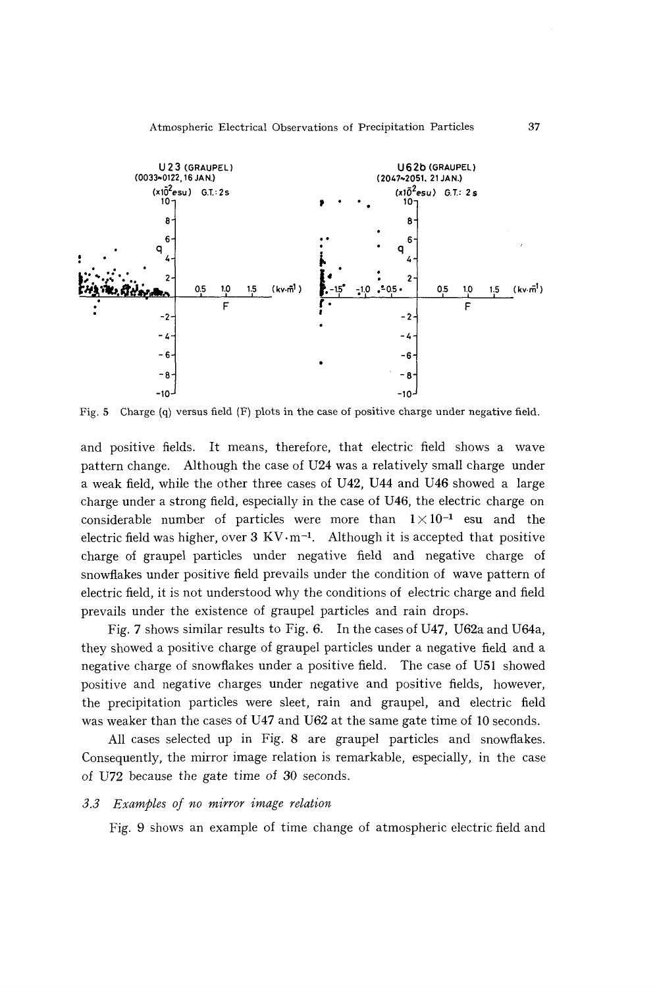

Fig. 5 Charge (q) versus field (F) plots in the case of positive charge under negative field.

and positive fields. It means, therefore, that electric field shows a wave pattern change. Although the case of U24 was a relatively small charge under a weak field, while the other three cases of U42, U44 and U46 showed a large Charge under a strong field, especially in the case of U46, the electric charge on considerable number of particles were more than  $1 \times 10^{-1}$  esu and the electric field was higher, over  $3 \text{ KV·m-1}$ . Although it is accepted that positive charge of graupel particles under negative field and negative charge of snowflakes under positive field prevails under the condition of wave pattern of electric field, it is not understood why the conditions of electric charge and field prevails under the existence of graupel particles and rain drops.

Fig. 7 shows similar results to Fig. 6. In the cases of U47, U62a and U64a, they showed a positive charge of graupel particles under a negative field and a negative charge of snowflakes under a positive field. The case of USI showed positive and negative charges under negative and positive fields, however, the precipitation particles were sleet, rain and graupel, and electric field was weaker than the cases of U47 and U62 at the same gate time of 10 seconds.

All cases selected up in Fig. 8 are graupel particles and snowflakes. Consequently, the mirror image relation is remarkable, especially, in the case of U72 because the gate time of 30 seconds.

## *3.3 Examples oj no mirror image relation*

Fig. 9 shows an example of time change of atmospheric electric field and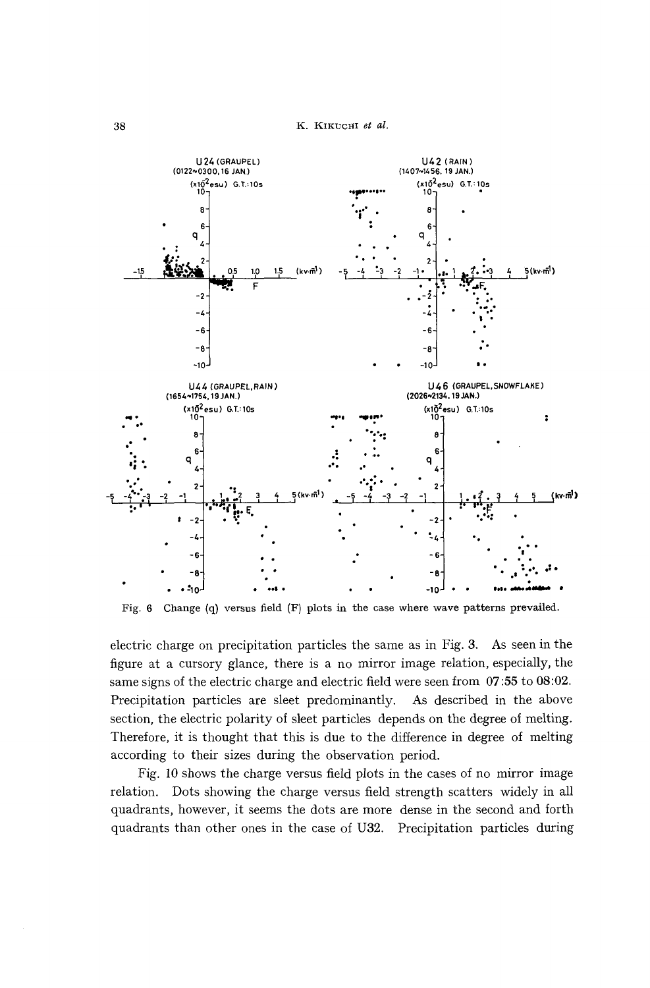

Fig. 6 Change (q) versus field (F) plots in the case where wave patterns prevailed.

electric charge on precipitation particles the same as in Fig. 3. As seen in the figure at a cursory glance, there is a no mirror image relation, especially, the same signs of the electric charge and electric field were seen from 07:55 to 08:02. Precipitation particles are sleet predominantly. As described in the above section, the electric polarity of sleet particles depends on the degree of melting. Therefore, it is thought that this is due to the difference in degree of melting according to their sizes during the observation period.

Fig. 10 shows the charge versus field plots in the cases of no mirror image relation. Dots showing the charge versus field strength scatters widely in all quadrants, however, it seems the dots are more dense in the second and forth quadrants than other ones in the case of U32. Precipitation particles during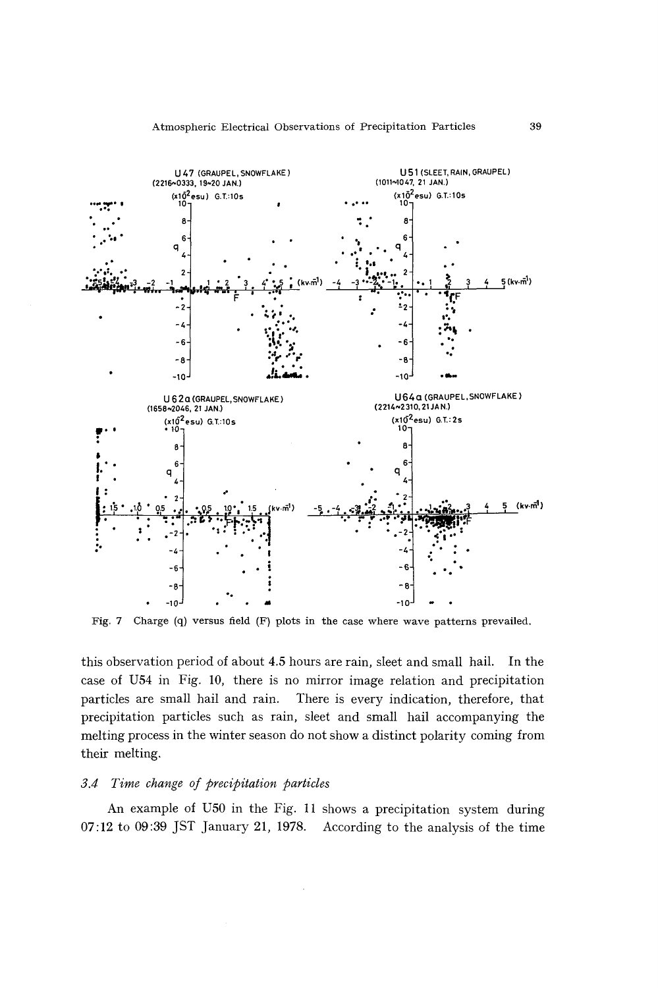

Fig. 7 Charge (q) versus field (F) plots in the case where wave patterns prevailed.

this observation period of about 4.5 hours are rain, sleet and small hail. In the case of U54 in Fig. 10, there is no mirror image relation and precipitation particles are small hail and rain. There is every indication, therefore, that precipitation particles such as rain, sleet and small hail accompanying the melting process in the winter season do not show a distinct polarity coming from their melting.

## 3.4 Time change of precipitation particles

An example of U50 in the Fig. 11 shows a precipitation system during 07:12 to 09:39 JST January 21, 1978. According to the analysis of the time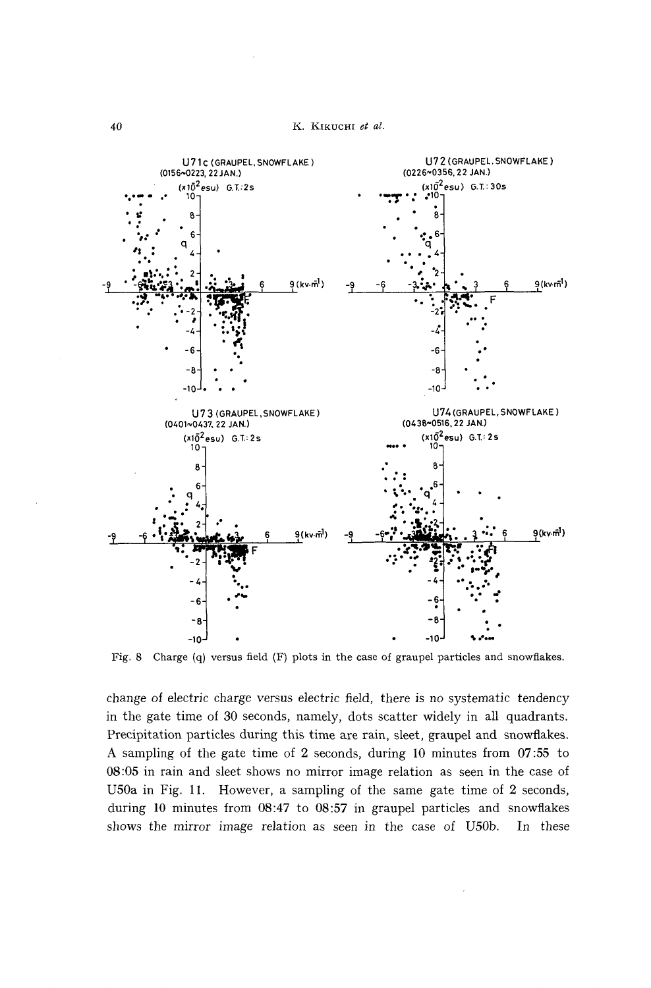

Fig. 8 Charge (q) versus field (F) plots in the case of graupel particles and snowflakes.

change of electric charge versus *electric* field, there *is* no *systematic* tendency *in* the gate time of 30 seconds, namely, dots scatter widely in all quadrants. Precipitation particles during this time are rain, sleet, graupel and snowflakes. A sampling of the gate time of 2 seconds, during 10 minutes from 07 :55 to 08:05 in rain and sleet shows no mirror image relation as seen in the case of U50a in Fig. 11. However, a sampling of the same gate time of 2 seconds, during 10 minutes from 08:47 to 08:57 in graupel particles and snowflakes shows the mirror image relation as seen *in* the case of U50b. In these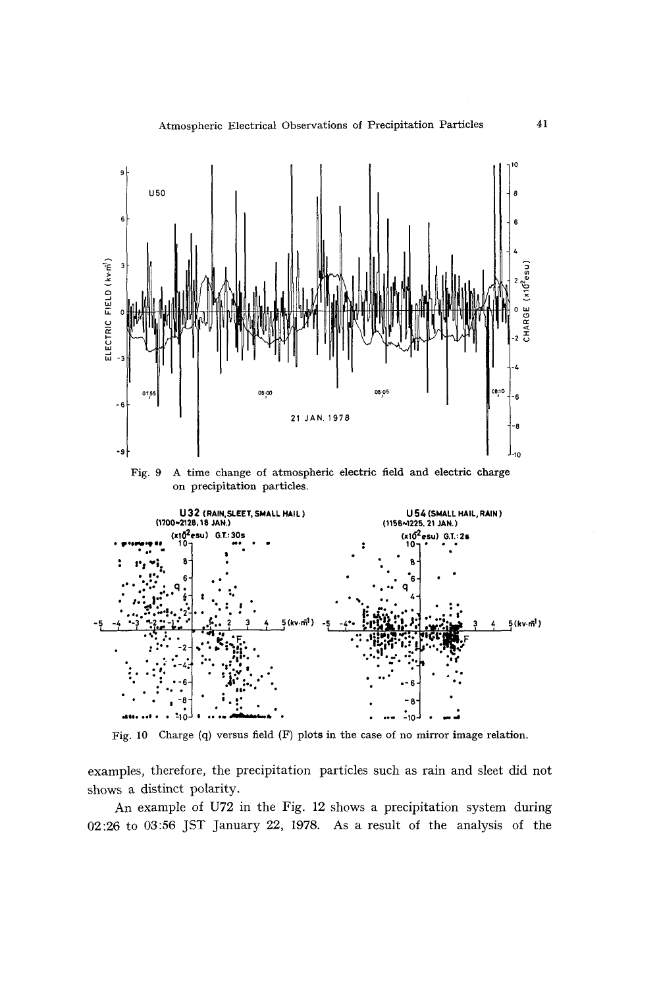

Fig. 10 Charge (q) versus field (F) plots in the case of no mirror image relation.

examples, therefore, the precipitation particles such as rain and sleet did not shows a distinct polarity.

An example of U72 in the Fig. 12 shows a precipitation system during 02:26 to 03:56 JST January 22, 1978. As a result of the analysis of the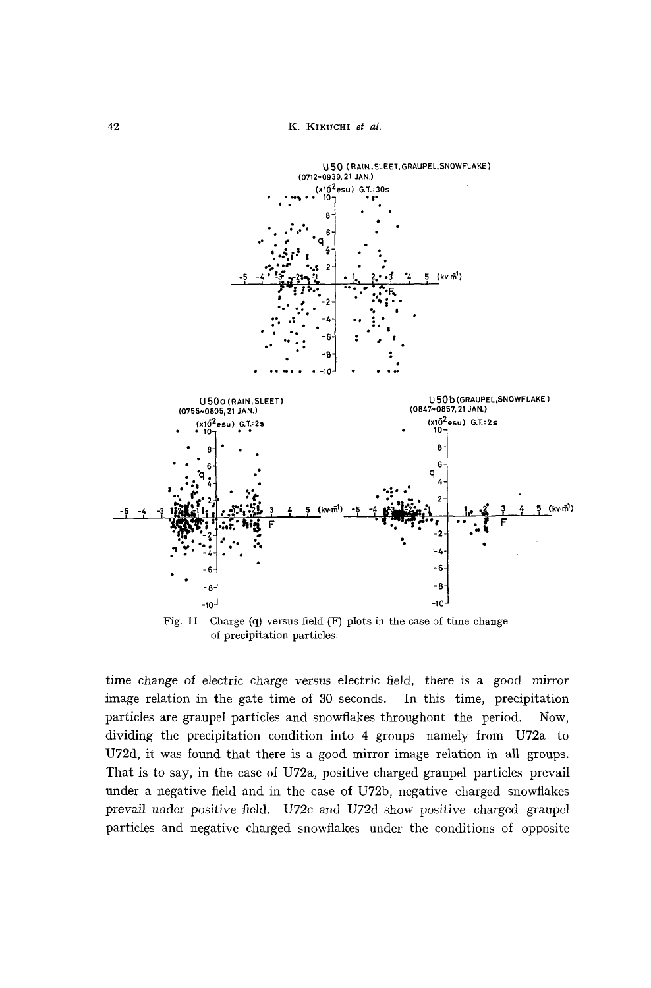

Fig. **11** Charge (q) versus field (F) plots in the case of time change of precipitation particles.

time change of electric charge versus electric field, there is a good mirror image relation in the gate time of 30 seconds. In this time, precipitation particles are graupel particles and snowflakes throughout the period. Now, dividing the precipitation condition into 4 groups namely from U72a to U72d, it was found that there is a good mirror image relation in all groups. That is to say, in the case of U72a, positive charged graupel particles prevail under a negative field and in the case of U72b, negative charged snowflakes prevail under positive field. U72c and U72d show positive charged graupel particles and negative charged snowflakes under the conditions of opposite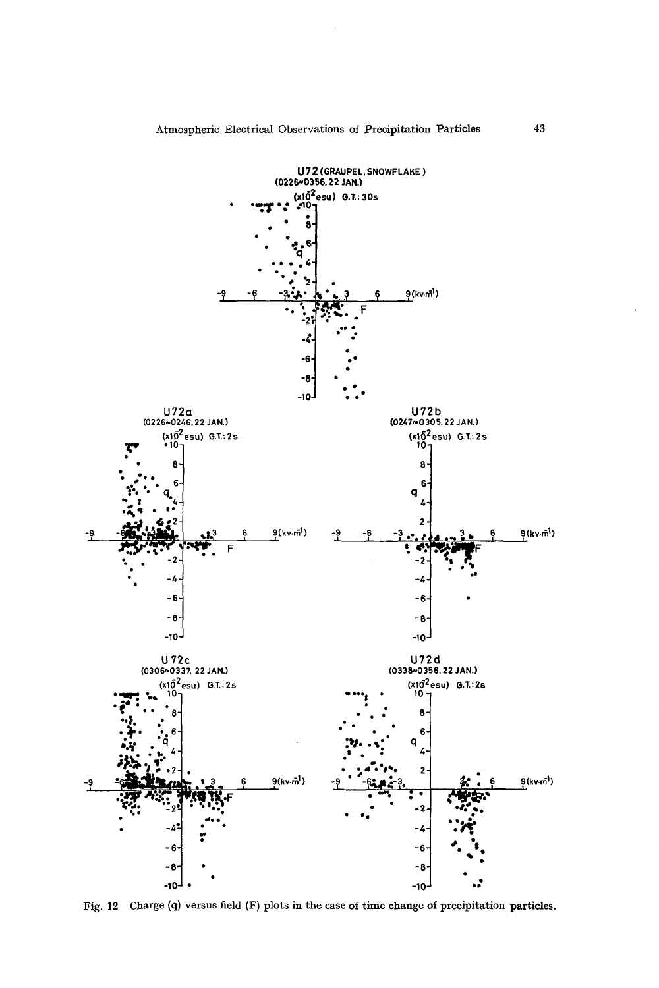

Fig. 12 Charge (q) versus field (F) plots in the case of time change of precipitation particles.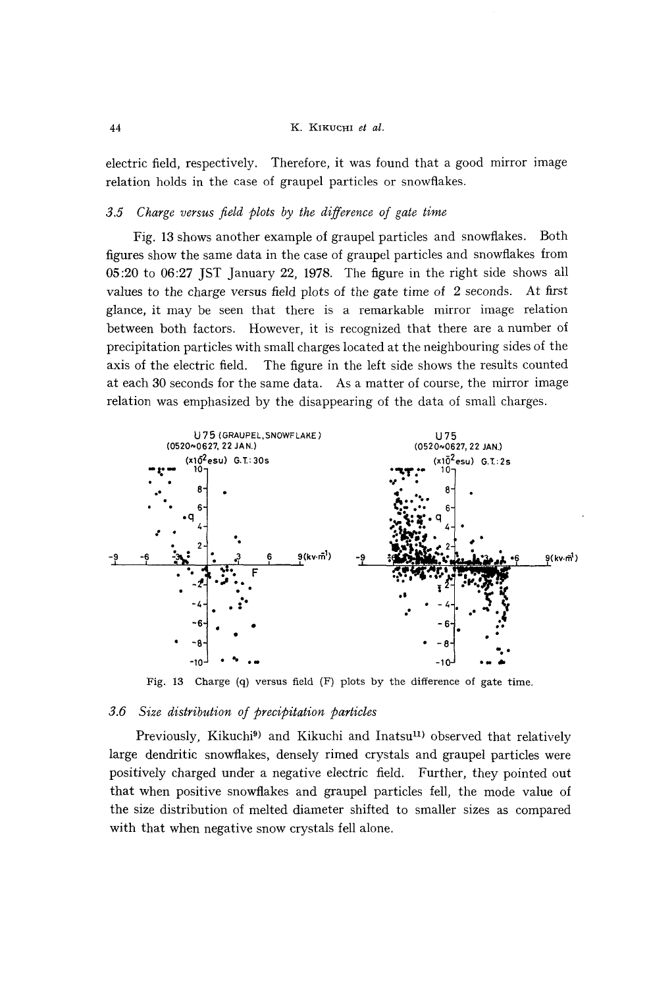#### 44 K. KIKUCHI *et al.*

electric field, respectively. Therefore, it was found that a good mirror image relation holds in the case of graupel particles or snowflakes.

## *3.5 Charge versus field plots by the difference of gate time*

Fig. 13 shows another example of graupel particles and snowflakes. Both figures show the same data in the case of graupel particles and snowflakes from 05:20 to 06:27 JST January 22, 1978. The figure in the right side shows all values to the charge versus field plots of the gate time of 2 seconds. At first glance, it may be seen that there is a remarkable mirror image relation between both factors. However, it is recognized that there are a number of precipitation particles with small charges located at the neighbouring sides of the axis of the electric field. The figure in the left side shows the results counted at each 30 seconds for the same data. As a matter of course, the mirror image relation was emphasized by the disappearing of the data of small charges.



Fig. 13 Charge (q) versus field (F) plots by the difference of gate time.

#### *3.6 Size distribution of precipitation particles*

Previously, Kikuchi<sup>9</sup>) and Kikuchi and Inatsu<sup>11</sup>) observed that relatively large dendritic snowflakes, densely rimed crystals and graupel particles were positively charged under a negative electric field. Further, they pointed out that when positive snowflakes and graupel particles fell, the mode value of the size distribution of melted diameter shifted to smaller sizes as compared with that when negative snow crystals fell alone.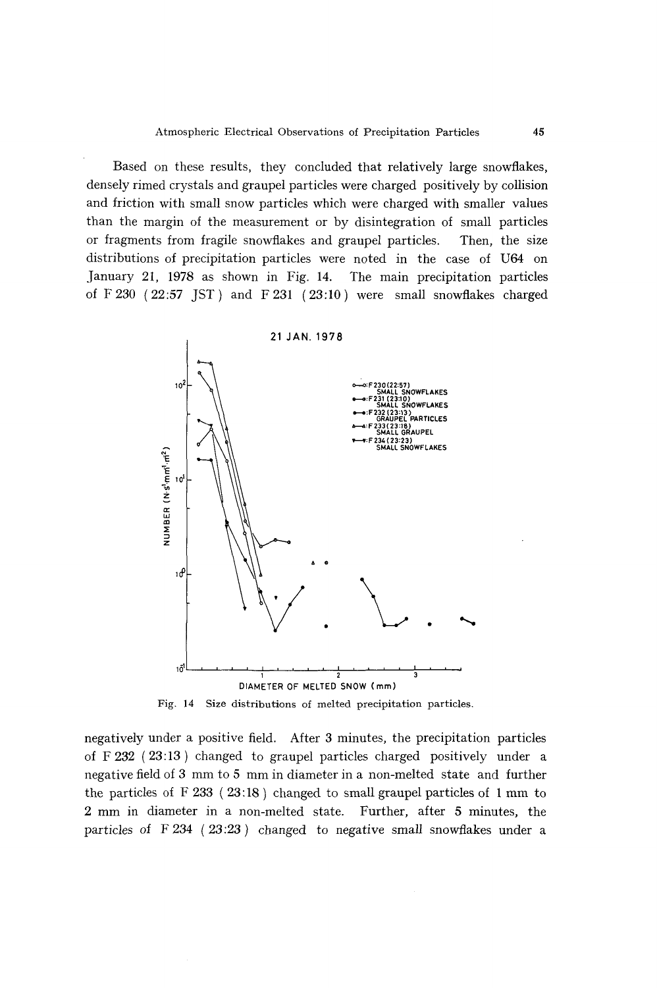Based on these results, they concluded that relatively large snowflakes, densely rimed crystals and graupel particles were charged positively by collision and friction with small snow particles which were charged with smaller values than the margin of the measurement or by disintegration of small particles or fragments from fragile snowflakes and graupel particles. Then, the size distributions of precipitation particles were noted in the case of U64 on January 21, 1978 as shown in Fig. 14. The main precipitation particles of  $F 230$  (22:57 JST) and  $F 231$  (23:10) were small snowflakes charged



Fig. 14 Size distributions of melted precipitation particles.

negatively under a positive field. After 3 minutes, the precipitation particles of F 232 (23: 13) changed to graupel particles charged positively under a negative field of 3 mm to 5 mm in diameter in a non-melted state and further the particles of  $F$  233 (23:18) changed to small graupel particles of 1 mm to 2 mm in diameter in a non-melted state. Further, after 5 minutes, the particles of  $F\ 234$  ( $23:23$ ) changed to negative small snowflakes under a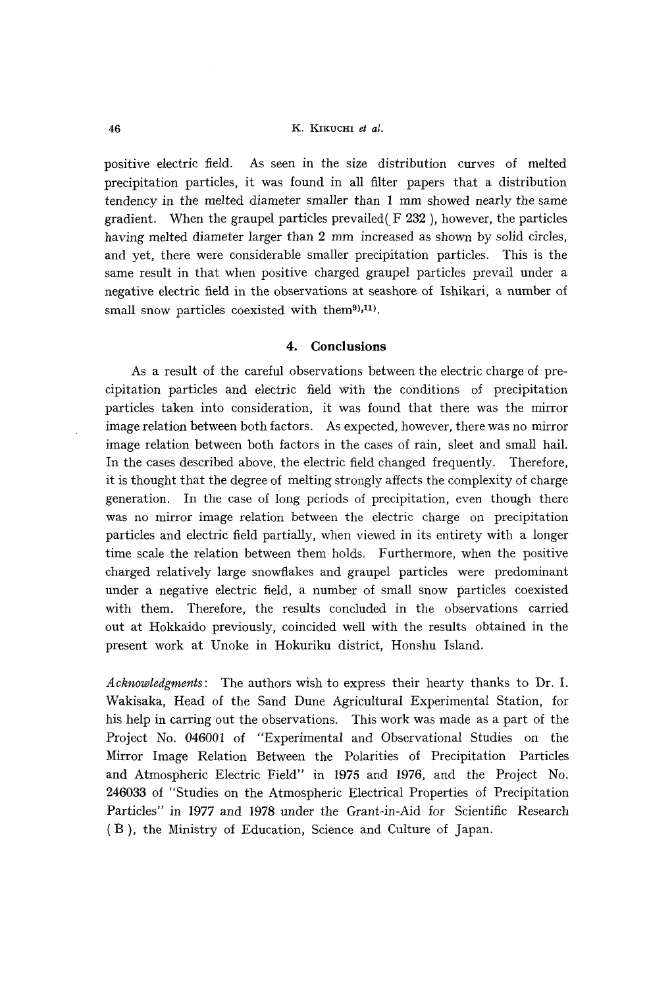#### 46 K. KIKUCHI *et al.*

positive electric field. As seen in the size distribution curves of melted precipitation particles, it was found in all filter papers that a distribution tendency in the melted diameter smaller than 1 mm showed nearly the same gradient. When the graupel particles prevailed(F 232 ), however, the particles having melted diameter larger than 2 mm increased as shown by solid circles, and yet, there were considerable smaller precipitation particles. This is the same result in that when positive charged graupel particles prevail under a negative electric field in the observations at seashore of Ishikari, a number of small snow particles coexisted with them $9,11$ .

## **4. Conclusions**

As a result of the careful observations between the electric charge of precipitation particles and electric field with the conditions of precipitation particles taken into consideration, it was found that there was the mirror image relation between both factors. As expected, however, there was no mirror image relation between both factors in the cases of rain, sleet and small hail. In the cases described above, the electric field changed frequently. Therefore, it is thought that the degree of melting strongly affects the complexity of charge generation. In the case of long periods of precipitation, even though there was no mirror image relation between the electric charge on precipitation particles and electric field partially, when viewed in its entirety with a longer time scale the relation between them holds. Furthermore, when the positive charged relatively large snowflakes and graupel particles were predominant under a negative electric field, a number of small snow particles coexisted with them. Therefore, the results concluded in the observations carried out at Hokkaido previously, coincided well with the results obtained in the present work at Unoke in Hokuriku district, Honshu Island.

*Acknowledgments:* The authors wish to express their hearty thanks to Dr. 1. Wakisaka, Head of the Sand Dune Agricultural Experimental Station, for his help in carring out the observations. This work was made as a part of the Project No. *046001* of "Experimental and Observational Studies on the Mirror Image Relation Between the Polarities of Precipitation Particles and Atmospheric Electric Field" in 1975 and 1976, and the Project No. *246033* of "Studies on the Atmospheric Electrical Properties of Precipitation Particles" in 1977 and 1978 under the Grant-in-Aid for Scientific Research (B), the Ministry of Education, Science and Culture of Japan.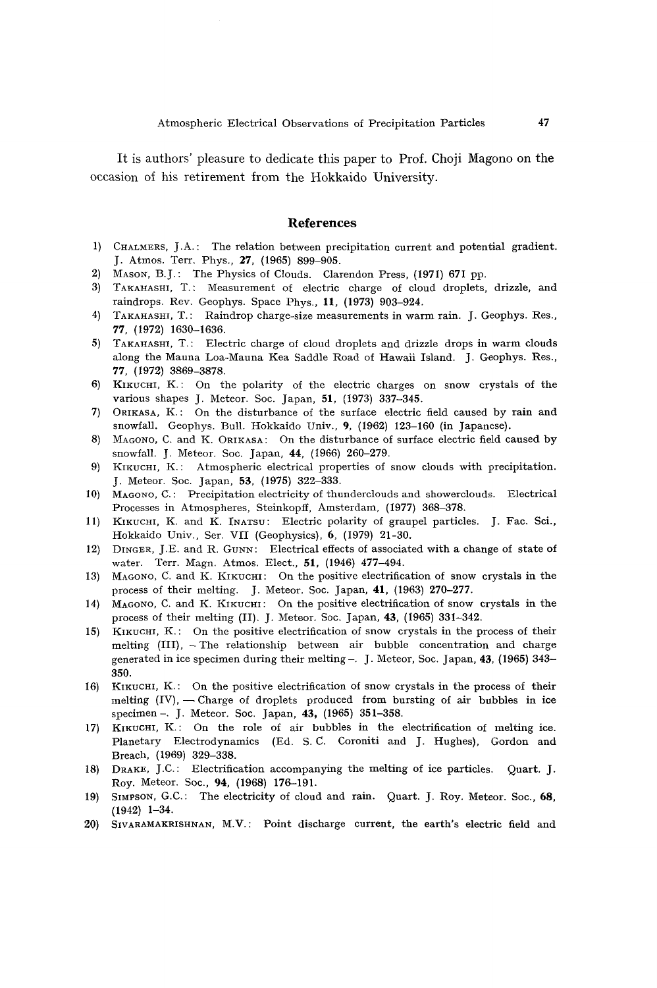It is authors' pleasure to dedicate this paper to Prof. Choji Magono on the occasion of his retirement from the Hokkaido University.

#### **References**

- 1) CHALMERS, J.A.: The relation between precipitation current and potential gradient. J. Atmos. Terr. Phys., 27, (1965) 899-905.
- 2) MASON, B.J.: The Physics of Clouds. Clarendon Press, (1971) 671 pp.
- 3) TAKAHASHI, T.: Measurement of electric charge of cloud droplets, drizzle, and raindrops. Rev. Geophys. Space Phys., 11, (1973) 903-924.
- 4) TAKAHASHI, T.: Raindrop charge-size measurements in warm rain. J. Geophys. Res., 77, (1972) 1630-1636.
- 5) TAKAHASHI, T.: Electric charge af cloud droplets and drizzle drops in warm clouds along the Mauna Loa-Mauna Kea Saddle Road of Hawaii Island. J. Geophys. Res., 77, (1972) 3869-3878.
- 6) KIKUCHI, K.: On the polarity of the electric charges on snow crystals of the various shapes J. Meteor. Soc. Japan, 51, (1973) 337-345.
- 7) ORIKASA, K.: On the disturbance of the surface electric field caused by rain and snowfall. Geophys. Bull. Hokkaido Univ., 9, (1962) 123-160 (in Japanese).
- 8) MAGONO, C. and K. ORIKASA: On the disturbance of surface electric field caused by snowfall. J. Meteor. Soc. Japan, 44, (1966) 260-279.
- 9) KIKUCHI, *K.:* Atmospheric electrical properties of snow clouds with precipitation. J. Meteor. Soc. Japan, 53, (1975) 322-333.
- 10) MAGONO, C.: Precipitation electricity of thunderclouds and showerclouds. Electrical Processes in Atmospheres, Steinkopff, Amsterdam, (1977) 368-378.
- 11) KIKUCHI, K. and K. INATSU: Electric polarity of graupel particles. J. Fac. Sci., Hokkaido Univ., Ser. VII (Geophysics), 6, (1979) 21-30.
- 12) DINGER, J.E. and R. GUNN: Electrical effects of associated with a change of state of water. Terr. Magn. Atmos. Elect., 51, (1946) 477-494.
- 13) MAGONO, C. and K. KIKUCHI: On the positive electrification of snow crystals in the process of their melting. J. Meteor. Soc. Japan, 41, (1963) 270-277.
- 14) MAGONO, C. and K. KIKUCHI: On the positive electrification of snow crystals in the process of their melting (II). J. Meteor. Soc. Japan, 43, (1965) 331-342.
- 15) KIKUCHI, *K.:* On the positive electrification of snow crystals in the process of their melting  $(III)$ , - The relationship between air bubble concentration and charge generated in ice specimen during their melting  $-$ . J. Meteor, Soc. Japan, 43, (1965) 343– 350.
- 16) KIKUCHI, *K.:* On the positive electrification of snow crystals in the process of their melting  $(IV)$ , - Charge of droplets produced from bursting of air bubbles in ice specimen -. J. Meteor. Soc. Japan, 43, (1965) 351-358.
- 17) KIKUCHI, *K.:* On the role of air bubbles in the electrification of melting ice. Planetary Electrodynamics (Ed. S. C. Coroniti and J. Hughes), Gordon and Breach, (1969) 329-338.
- 18) DRAKE, J.C.: Electrification accompanying the melting of ice particles. Quart. J. Roy. Meteor. Soc., 94, (1968) 176-191.
- 19) SIMPSON, G.C.: The electricity of cloud and rain. Quart. J. Roy. Meteor. Soc., 68, (1942) 1-34.
- 20) SIVARAMAKRISHNAN, M.V.: Point discharge current, the earth's electric field and